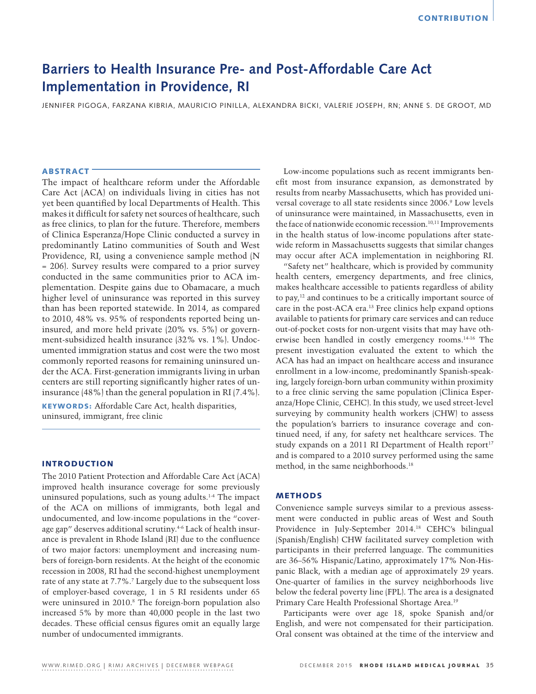# **Barriers to Health Insurance Pre- and Post-Affordable Care Act Implementation in Providence, RI**

JENNIFER PIGOGA, FARZANA KIBRIA, MAURICIO PINILLA, ALEXANDRA BICKI, VALERIE JOSEPH, RN; ANNE S. DE GROOT, MD

# ABSTRACT

The impact of healthcare reform under the Affordable Care Act (ACA) on individuals living in cities has not yet been quantified by local Departments of Health. This makes it difficult for safety net sources of healthcare, such as free clinics, to plan for the future. Therefore, members of Clinica Esperanza/Hope Clinic conducted a survey in predominantly Latino communities of South and West Providence, RI, using a convenience sample method (N = 206). Survey results were compared to a prior survey conducted in the same communities prior to ACA implementation. Despite gains due to Obamacare, a much higher level of uninsurance was reported in this survey than has been reported statewide. In 2014, as compared to 2010, 48% vs. 95% of respondents reported being uninsured, and more held private (20% vs. 5%) or government-subsidized health insurance (32% vs. 1%). Undocumented immigration status and cost were the two most commonly reported reasons for remaining uninsured under the ACA. First-generation immigrants living in urban centers are still reporting significantly higher rates of uninsurance (48%) than the general population in RI (7.4%).

KEYWORDS: Affordable Care Act, health disparities, uninsured, immigrant, free clinic

# INTRODUCTION

The 2010 Patient Protection and Affordable Care Act (ACA) improved health insurance coverage for some previously uninsured populations, such as young adults.1-4 The impact of the ACA on millions of immigrants, both legal and undocumented, and low-income populations in the "coverage gap" deserves additional scrutiny.4-6 Lack of health insurance is prevalent in Rhode Island (RI) due to the confluence of two major factors: unemployment and increasing numbers of foreign-born residents. At the height of the economic recession in 2008, RI had the second-highest unemployment rate of any state at 7.7%.<sup>7</sup> Largely due to the subsequent loss of employer-based coverage, 1 in 5 RI residents under 65 were uninsured in 2010.<sup>8</sup> The foreign-born population also increased 5% by more than 40,000 people in the last two decades. These official census figures omit an equally large number of undocumented immigrants.

Low-income populations such as recent immigrants benefit most from insurance expansion, as demonstrated by results from nearby Massachusetts, which has provided universal coverage to all state residents since 2006.9 Low levels of uninsurance were maintained, in Massachusetts, even in the face of nationwide economic recession.<sup>10,11</sup> Improvements in the health status of low-income populations after statewide reform in Massachusetts suggests that similar changes may occur after ACA implementation in neighboring RI.

"Safety net" healthcare, which is provided by community health centers, emergency departments, and free clinics, makes healthcare accessible to patients regardless of ability to pay,12 and continues to be a critically important source of care in the post-ACA era.13 Free clinics help expand options available to patients for primary care services and can reduce out-of-pocket costs for non-urgent visits that may have otherwise been handled in costly emergency rooms.14-16 The present investigation evaluated the extent to which the ACA has had an impact on healthcare access and insurance enrollment in a low-income, predominantly Spanish-speaking, largely foreign-born urban community within proximity to a free clinic serving the same population (Clinica Esperanza/Hope Clinic, CEHC). In this study, we used street-level surveying by community health workers (CHW) to assess the population's barriers to insurance coverage and continued need, if any, for safety net healthcare services. The study expands on a 2011 RI Department of Health report<sup>17</sup> and is compared to a 2010 survey performed using the same method, in the same neighborhoods.18

# METHODS

Convenience sample surveys similar to a previous assessment were conducted in public areas of West and South Providence in July-September 2014.18 CEHC's bilingual (Spanish/English) CHW facilitated survey completion with participants in their preferred language. The communities are 36–56% Hispanic/Latino, approximately 17% Non-Hispanic Black, with a median age of approximately 29 years. One-quarter of families in the survey neighborhoods live below the federal poverty line (FPL). The area is a designated Primary Care Health Professional Shortage Area.<sup>19</sup>

Participants were over age 18, spoke Spanish and/or English, and were not compensated for their participation. Oral consent was obtained at the time of the interview and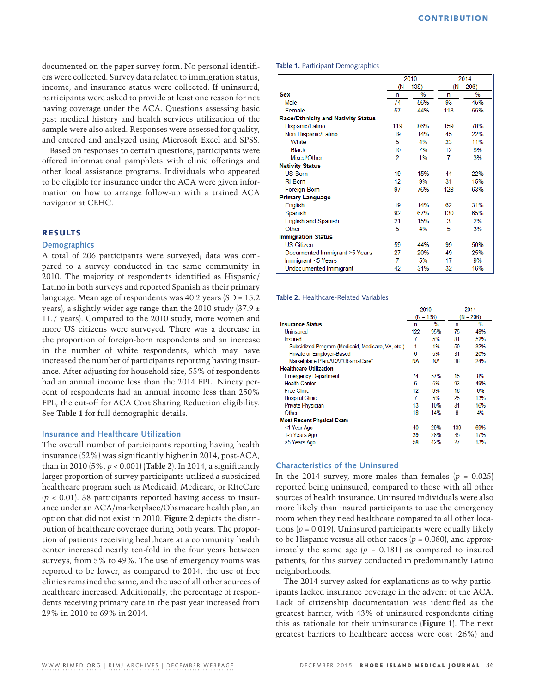documented on the paper survey form. No personal identifiers were collected. Survey data related to immigration status, income, and insurance status were collected. If uninsured, participants were asked to provide at least one reason for not having coverage under the ACA. Questions assessing basic past medical history and health services utilization of the sample were also asked. Responses were assessed for quality, and entered and analyzed using Microsoft Excel and SPSS.

Based on responses to certain questions, participants were offered informational pamphlets with clinic offerings and other local assistance programs. Individuals who appeared to be eligible for insurance under the ACA were given information on how to arrange follow-up with a trained ACA navigator at CEHC.

# RESULTS

# **Demographics**

A total of 206 participants were surveyed; data was compared to a survey conducted in the same community in 2010. The majority of respondents identified as Hispanic/ Latino in both surveys and reported Spanish as their primary language. Mean age of respondents was 40.2 years (SD = 15.2 years), a slightly wider age range than the 2010 study (37.9 ± 11.7 years). Compared to the 2010 study, more women and more US citizens were surveyed. There was a decrease in the proportion of foreign-born respondents and an increase in the number of white respondents, which may have increased the number of participants reporting having insurance. After adjusting for household size, 55% of respondents had an annual income less than the 2014 FPL. Ninety percent of respondents had an annual income less than 250% FPL, the cut-off for ACA Cost Sharing Reduction eligibility. See **Table 1** for full demographic details.

# **Insurance and Healthcare Utilization**

The overall number of participants reporting having health insurance (52%) was significantly higher in 2014, post-ACA, than in 2010 (5%, *p* < 0.001) (**Table 2**). In 2014, a significantly larger proportion of survey participants utilized a subsidized healthcare program such as Medicaid, Medicare, or RIteCare  $(p < 0.01)$ . 38 participants reported having access to insurance under an ACA/marketplace/Obamacare health plan, an option that did not exist in 2010. **Figure 2** depicts the distribution of healthcare coverage during both years. The proportion of patients receiving healthcare at a community health center increased nearly ten-fold in the four years between surveys, from 5% to 49%. The use of emergency rooms was reported to be lower, as compared to 2014, the use of free clinics remained the same, and the use of all other sources of healthcare increased. Additionally, the percentage of respondents receiving primary care in the past year increased from 29% in 2010 to 69% in 2014.

#### **Table 1.** Participant Demographics

|                                           | 2010            |      | 2014        |      |
|-------------------------------------------|-----------------|------|-------------|------|
|                                           | $(N = 138)$     |      | $(N = 206)$ |      |
| <b>Sex</b>                                | n               | $\%$ | n           | $\%$ |
| Male                                      | 74              | 56%  | 93          | 45%  |
| Female                                    | 57              | 44%  | 113         | 55%  |
| <b>Race/Ethnicity and Nativity Status</b> |                 |      |             |      |
| Hispanic/Latino                           | 119             | 86%  | 159         | 78%  |
| Non-Hispanic/Latino                       | 19              | 14%  | 45          | 22%  |
| <b>White</b>                              | 5               | 4%   | 23          | 11%  |
| <b>Black</b>                              | 10              | 7%   | 12          | 6%   |
| Mixed/Other                               | 2               | 1%   | 7           | 3%   |
| <b>Nativity Status</b>                    |                 |      |             |      |
| US-Born                                   | 19              | 15%  | 44          | 22%  |
| <b>RI-Born</b>                            | 12 <sup>1</sup> | 9%   | 31          | 15%  |
| Foreign-Born                              | 97              | 76%  | 128         | 63%  |
| <b>Primary Language</b>                   |                 |      |             |      |
| English                                   | 19              | 14%  | 62          | 31%  |
| Spanish                                   | 92              | 67%  | 130         | 65%  |
| <b>English and Spanish</b>                | 21              | 15%  | 3           | 2%   |
| Other                                     | 5               | 4%   | 5           | 3%   |
| <b>Immigration Status</b>                 |                 |      |             |      |
| <b>US Citizen</b>                         | 59              | 44%  | 99          | 50%  |
| Documented Immigrant ≥5 Years             | 27              | 20%  | 49          | 25%  |
| Immigrant <5 Years                        | 7               | 5%   | 17          | 9%   |
| Undocumented Immigrant                    | 42              | 31%  | 32          | 16%  |

#### **Table 2.** Healthcare-Related Variables

|                                                   | 2010        |               | 2014        |     |
|---------------------------------------------------|-------------|---------------|-------------|-----|
|                                                   | $(N = 138)$ |               | $(N = 206)$ |     |
| <b>Insurance Status</b>                           | n           | $\frac{0}{0}$ | n           | %   |
| Uninsured                                         | 122         | 95%           | 75          | 48% |
| <b>Insured</b>                                    |             | 5%            | 81          | 52% |
| Subsidized Program (Medicaid, Medicare, VA, etc.) |             | 1%            | 50          | 32% |
| Private or Employer-Based                         | 6           | 5%            | 31          | 20% |
| Marketplace Plan/ACA/"ObamaCare"                  | NA          | NA            | 38          | 24% |
| <b>Healthcare Utilization</b>                     |             |               |             |     |
| <b>Emergency Department</b>                       | 74          | 57%           | 15          | 8%  |
| <b>Health Center</b>                              | 6           | 5%            | 93          | 49% |
| <b>Free Clinic</b>                                | 12          | 9%            | 16          | 9%  |
| <b>Hospital Clinic</b>                            | 7           | 5%            | 25          | 13% |
| <b>Private Physician</b>                          | 13          | 10%           | 31          | 16% |
| Other                                             | 18          | 14%           | 8           | 4%  |
| <b>Most Recent Physical Exam</b>                  |             |               |             |     |
| <1 Year Ago                                       | 40          | 29%           | 139         | 69% |
| 1-5 Years Ago                                     | 39          | 28%           | 35          | 17% |
| >5 Years Ago                                      | 58          | 42%           | 27          | 13% |

#### **Characteristics of the Uninsured**

In the 2014 survey, more males than females  $(p = 0.025)$ reported being uninsured, compared to those with all other sources of health insurance. Uninsured individuals were also more likely than insured participants to use the emergency room when they need healthcare compared to all other locations  $(p = 0.019)$ . Uninsured participants were equally likely to be Hispanic versus all other races  $(p = 0.080)$ , and approximately the same age  $(p = 0.181)$  as compared to insured patients, for this survey conducted in predominantly Latino neighborhoods.

The 2014 survey asked for explanations as to why participants lacked insurance coverage in the advent of the ACA. Lack of citizenship documentation was identified as the greatest barrier, with 43% of uninsured respondents citing this as rationale for their uninsurance (**Figure 1**). The next greatest barriers to healthcare access were cost (26%) and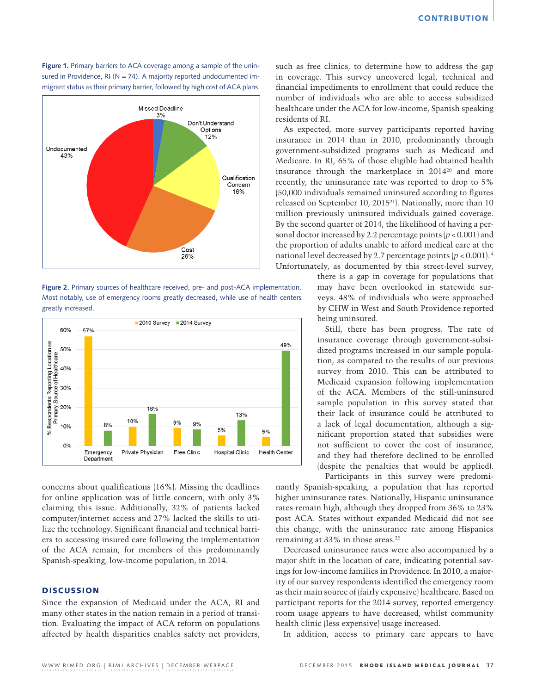**Figure 1.** Primary barriers to ACA coverage among a sample of the uninsured in Providence, RI ( $N = 74$ ). A majority reported undocumented immigrant status as their primary barrier, followed by high cost of ACA plans.



**Figure 2.** Primary sources of healthcare received, pre- and post-ACA implementation. Most notably, use of emergency rooms greatly decreased, while use of health centers greatly increased.



concerns about qualifications (16%). Missing the deadlines for online application was of little concern, with only 3% claiming this issue. Additionally, 32% of patients lacked computer/internet access and 27% lacked the skills to utilize the technology. Significant financial and technical barriers to accessing insured care following the implementation of the ACA remain, for members of this predominantly Spanish-speaking, low-income population, in 2014.

# **DISCUSSION**

Since the expansion of Medicaid under the ACA, RI and many other states in the nation remain in a period of transition. Evaluating the impact of ACA reform on populations affected by health disparities enables safety net providers, such as free clinics, to determine how to address the gap in coverage. This survey uncovered legal, technical and financial impediments to enrollment that could reduce the number of individuals who are able to access subsidized healthcare under the ACA for low-income, Spanish speaking residents of RI.

As expected, more survey participants reported having insurance in 2014 than in 2010, predominantly through government-subsidized programs such as Medicaid and Medicare. In RI, 65% of those eligible had obtained health insurance through the marketplace in 2014<sup>20</sup> and more recently, the uninsurance rate was reported to drop to 5% (50,000 individuals remained uninsured according to figures released on September 10, 201521). Nationally, more than 10 million previously uninsured individuals gained coverage. By the second quarter of 2014, the likelihood of having a personal doctor increased by 2.2 percentage points (*p* < 0.001) and the proportion of adults unable to afford medical care at the national level decreased by 2.7 percentage points  $(p < 0.001)$ .<sup>4</sup> Unfortunately, as documented by this street-level survey,

> there is a gap in coverage for populations that may have been overlooked in statewide surveys. 48% of individuals who were approached by CHW in West and South Providence reported being uninsured.

Still, there has been progress. The rate of insurance coverage through government-subsidized programs increased in our sample population, as compared to the results of our previous survey from 2010. This can be attributed to Medicaid expansion following implementation of the ACA. Members of the still-uninsured sample population in this survey stated that their lack of insurance could be attributed to a lack of legal documentation, although a significant proportion stated that subsidies were not sufficient to cover the cost of insurance, and they had therefore declined to be enrolled (despite the penalties that would be applied).

Participants in this survey were predominantly Spanish-speaking, a population that has reported higher uninsurance rates. Nationally, Hispanic uninsurance rates remain high, although they dropped from 36% to 23% post ACA. States without expanded Medicaid did not see this change, with the uninsurance rate among Hispanics remaining at 33% in those areas.<sup>22</sup>

Decreased uninsurance rates were also accompanied by a major shift in the location of care, indicating potential savings for low-income families in Providence. In 2010, a majority of our survey respondents identified the emergency room as their main source of (fairly expensive) healthcare. Based on participant reports for the 2014 survey, reported emergency room usage appears to have decreased, whilst community health clinic (less expensive) usage increased.

In addition, access to primary care appears to have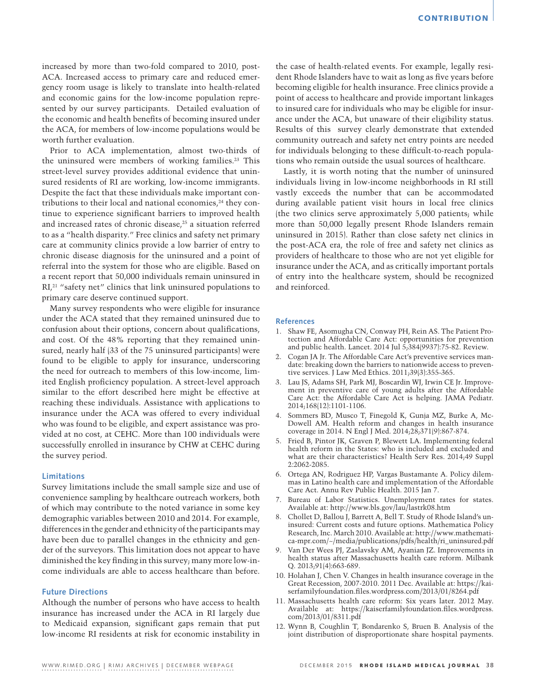increased by more than two-fold compared to 2010, post-ACA. Increased access to primary care and reduced emergency room usage is likely to translate into health-related and economic gains for the low-income population represented by our survey participants. Detailed evaluation of the economic and health benefits of becoming insured under the ACA, for members of low-income populations would be worth further evaluation.

Prior to ACA implementation, almost two-thirds of the uninsured were members of working families.23 This street-level survey provides additional evidence that uninsured residents of RI are working, low-income immigrants. Despite the fact that these individuals make important contributions to their local and national economies, $24$  they continue to experience significant barriers to improved health and increased rates of chronic disease,<sup>25</sup> a situation referred to as a "health disparity." Free clinics and safety net primary care at community clinics provide a low barrier of entry to chronic disease diagnosis for the uninsured and a point of referral into the system for those who are eligible. Based on a recent report that 50,000 individuals remain uninsured in RI,<sup>21</sup> "safety net" clinics that link uninsured populations to primary care deserve continued support.

Many survey respondents who were eligible for insurance under the ACA stated that they remained uninsured due to confusion about their options, concern about qualifications, and cost. Of the 48% reporting that they remained uninsured, nearly half (33 of the 75 uninsured participants) were found to be eligible to apply for insurance, underscoring the need for outreach to members of this low-income, limited English proficiency population. A street-level approach similar to the effort described here might be effective at reaching these individuals. Assistance with applications to insurance under the ACA was offered to every individual who was found to be eligible, and expert assistance was provided at no cost, at CEHC. More than 100 individuals were successfully enrolled in insurance by CHW at CEHC during the survey period.

# **Limitations**

Survey limitations include the small sample size and use of convenience sampling by healthcare outreach workers, both of which may contribute to the noted variance in some key demographic variables between 2010 and 2014. For example, differences in the gender and ethnicity of the participants may have been due to parallel changes in the ethnicity and gender of the surveyors. This limitation does not appear to have diminished the key finding in this survey; many more low-income individuals are able to access healthcare than before.

# **Future Directions**

Although the number of persons who have access to health insurance has increased under the ACA in RI largely due to Medicaid expansion, significant gaps remain that put low-income RI residents at risk for economic instability in

the case of health-related events. For example, legally resident Rhode Islanders have to wait as long as five years before becoming eligible for health insurance. Free clinics provide a point of access to healthcare and provide important linkages to insured care for individuals who may be eligible for insurance under the ACA, but unaware of their eligibility status. Results of this survey clearly demonstrate that extended community outreach and safety net entry points are needed for individuals belonging to these difficult-to-reach populations who remain outside the usual sources of healthcare.

Lastly, it is worth noting that the number of uninsured individuals living in low-income neighborhoods in RI still vastly exceeds the number that can be accommodated during available patient visit hours in local free clinics (the two clinics serve approximately 5,000 patients; while more than 50,000 legally present Rhode Islanders remain uninsured in 2015). Rather than close safety net clinics in the post-ACA era, the role of free and safety net clinics as providers of healthcare to those who are not yet eligible for insurance under the ACA, and as critically important portals of entry into the healthcare system, should be recognized and reinforced.

# **References**

- 1. Shaw FE, Asomugha CN, Conway PH, Rein AS. The Patient Protection and Affordable Care Act: opportunities for prevention and public health. Lancet. 2014 Jul 5;384(9937):75-82. Review.
- 2. Cogan JA Jr. The Affordable Care Act's preventive services mandate: breaking down the barriers to nationwide access to preventive services. J Law Med Ethics. 2011;39(3):355-365.
- 3. Lau JS, Adams SH, Park MJ, Boscardin WJ, Irwin CE Jr. Improvement in preventive care of young adults after the Affordable Care Act: the Affordable Care Act is helping. JAMA Pediatr. 2014;168(12):1101-1106.
- 4. Sommers BD, Musco T, Finegold K, Gunja MZ, Burke A, Mc-Dowell AM. Health reform and changes in health insurance coverage in 2014. N Engl J Med. 2014;28;371(9):867-874.
- 5. Fried B, Pintor JK, Graven P, Blewett LA. Implementing federal health reform in the States: who is included and excluded and what are their characteristics? Health Serv Res. 2014;49 Suppl 2:2062-2085.
- 6. Ortega AN, Rodriguez HP, Vargas Bustamante A. Policy dilemmas in Latino health care and implementation of the Affordable Care Act. Annu Rev Public Health. 2015 Jan 7.
- 7. Bureau of Labor Statistics. Unemployment rates for states. Available at: http://www.bls.gov/lau/lastrk08.htm
- 8. Chollet D, Ballou J, Barrett A, Bell T. Study of Rhode Island's uninsured: Current costs and future options. Mathematica Policy Research, Inc. March 2010. Available at: http://www.mathematica-mpr.com/~/media/publications/pdfs/health/ri\_uninsured.pdf
- 9. Van Der Wees PJ, Zaslavsky AM, Ayanian JZ. Improvements in health status after Massachusetts health care reform. Milbank Q. 2013;91(4):663-689.
- 10. Holahan J, Chen V. Changes in health insurance coverage in the Great Recession, 2007-2010. 2011 Dec. Available at: https://kaiserfamilyfoundation.files.wordpress.com/2013/01/8264.pdf
- 11. Massachusetts health care reform: Six years later. 2012 May. Available at: https://kaiserfamilyfoundation.files.wordpress. com/2013/01/8311.pdf
- 12. Wynn B, Coughlin T, Bondarenko S, Bruen B. Analysis of the joint distribution of disproportionate share hospital payments.